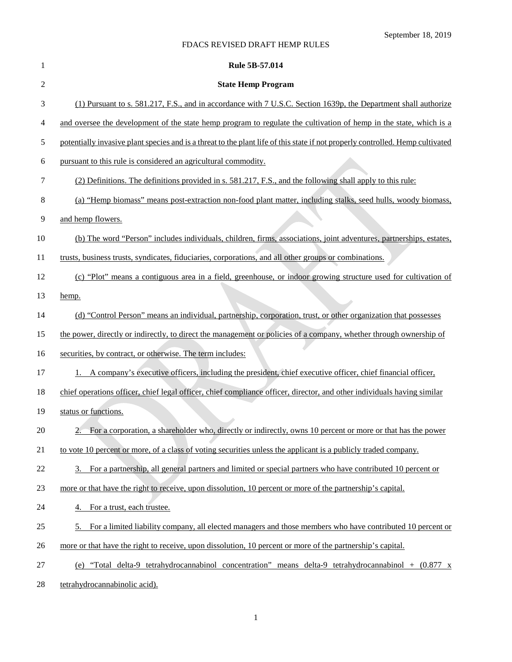# September 18, 2019

# FDACS REVISED DRAFT HEMP RULES

| 1      | <b>Rule 5B-57.014</b>                                                                                                          |
|--------|--------------------------------------------------------------------------------------------------------------------------------|
| 2      | <b>State Hemp Program</b>                                                                                                      |
| 3      | (1) Pursuant to s. 581.217, F.S., and in accordance with 7 U.S.C. Section 1639p, the Department shall authorize                |
| 4      | and oversee the development of the state hemp program to regulate the cultivation of hemp in the state, which is a             |
| 5      | potentially invasive plant species and is a threat to the plant life of this state if not properly controlled. Hemp cultivated |
| 6      | pursuant to this rule is considered an agricultural commodity.                                                                 |
| 7      | (2) Definitions. The definitions provided in s. 581.217, F.S., and the following shall apply to this rule:                     |
| 8      | (a) "Hemp biomass" means post-extraction non-food plant matter, including stalks, seed hulls, woody biomass,                   |
| 9      | and hemp flowers.                                                                                                              |
| 10     | (b) The word "Person" includes individuals, children, firms, associations, joint adventures, partnerships, estates,            |
| 11     | trusts, business trusts, syndicates, fiduciaries, corporations, and all other groups or combinations.                          |
| 12     | (c) "Plot" means a contiguous area in a field, greenhouse, or indoor growing structure used for cultivation of                 |
| 13     | hemp.                                                                                                                          |
| 14     | (d) "Control Person" means an individual, partnership, corporation, trust, or other organization that possesses                |
| 15     | the power, directly or indirectly, to direct the management or policies of a company, whether through ownership of             |
| 16     | securities, by contract, or otherwise. The term includes:                                                                      |
| 17     | A company's executive officers, including the president, chief executive officer, chief financial officer,<br>1.               |
| 18     | chief operations officer, chief legal officer, chief compliance officer, director, and other individuals having similar        |
| 19     | status or functions.                                                                                                           |
| 20     | 2. For a corporation, a shareholder who, directly or indirectly, owns 10 percent or more or that has the power                 |
| 21     | to vote 10 percent or more, of a class of voting securities unless the applicant is a publicly traded company.                 |
| 22     | 3. For a partnership, all general partners and limited or special partners who have contributed 10 percent or                  |
| 23     | more or that have the right to receive, upon dissolution, 10 percent or more of the partnership's capital.                     |
| 24     | 4. For a trust, each trustee.                                                                                                  |
| 25     | 5. For a limited liability company, all elected managers and those members who have contributed 10 percent or                  |
| 26     | more or that have the right to receive, upon dissolution, 10 percent or more of the partnership's capital.                     |
| 27     | (e) "Total delta-9 tetrahydrocannabinol concentration" means delta-9 tetrahydrocannabinol + $(0.877 \text{ x})$                |
| $28\,$ | tetrahydrocannabinolic acid).                                                                                                  |

1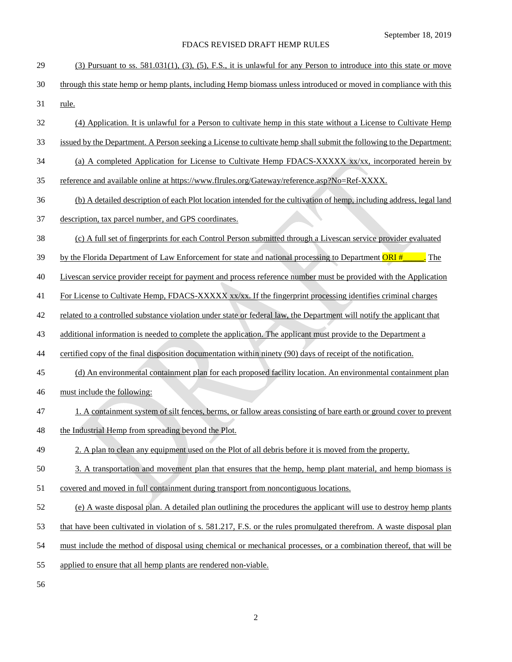| 29 | (3) Pursuant to ss. 581.031(1), (3), (5), F.S., it is unlawful for any Person to introduce into this state or move    |
|----|-----------------------------------------------------------------------------------------------------------------------|
| 30 | through this state hemp or hemp plants, including Hemp biomass unless introduced or moved in compliance with this     |
| 31 | rule.                                                                                                                 |
| 32 | (4) Application. It is unlawful for a Person to cultivate hemp in this state without a License to Cultivate Hemp      |
| 33 | issued by the Department. A Person seeking a License to cultivate hemp shall submit the following to the Department:  |
| 34 | (a) A completed Application for License to Cultivate Hemp FDACS-XXXXX xx/xx, incorporated herein by                   |
| 35 | reference and available online at https://www.flrules.org/Gateway/reference.asp?No=Ref-XXXX.                          |
| 36 | (b) A detailed description of each Plot location intended for the cultivation of hemp, including address, legal land  |
| 37 | description, tax parcel number, and GPS coordinates.                                                                  |
| 38 | (c) A full set of fingerprints for each Control Person submitted through a Livescan service provider evaluated        |
| 39 | by the Florida Department of Law Enforcement for state and national processing to Department ORI $#$<br>The           |
| 40 | Livescan service provider receipt for payment and process reference number must be provided with the Application      |
| 41 | For License to Cultivate Hemp, FDACS-XXXXX xx/xx. If the fingerprint processing identifies criminal charges           |
| 42 | related to a controlled substance violation under state or federal law, the Department will notify the applicant that |
| 43 | additional information is needed to complete the application. The applicant must provide to the Department a          |
| 44 | certified copy of the final disposition documentation within ninety (90) days of receipt of the notification.         |
| 45 | (d) An environmental containment plan for each proposed facility location. An environmental containment plan          |
| 46 | must include the following:                                                                                           |
| 47 | 1. A containment system of silt fences, berms, or fallow areas consisting of bare earth or ground cover to prevent    |
| 48 | the Industrial Hemp from spreading beyond the Plot.                                                                   |
| 49 | 2. A plan to clean any equipment used on the Plot of all debris before it is moved from the property.                 |
| 50 | 3. A transportation and movement plan that ensures that the hemp, hemp plant material, and hemp biomass is            |
| 51 | covered and moved in full containment during transport from noncontiguous locations.                                  |
| 52 | (e) A waste disposal plan. A detailed plan outlining the procedures the applicant will use to destroy hemp plants     |
| 53 | that have been cultivated in violation of s. 581.217, F.S. or the rules promulgated therefrom. A waste disposal plan  |
| 54 | must include the method of disposal using chemical or mechanical processes, or a combination thereof, that will be    |
| 55 | applied to ensure that all hemp plants are rendered non-viable.                                                       |
| 56 |                                                                                                                       |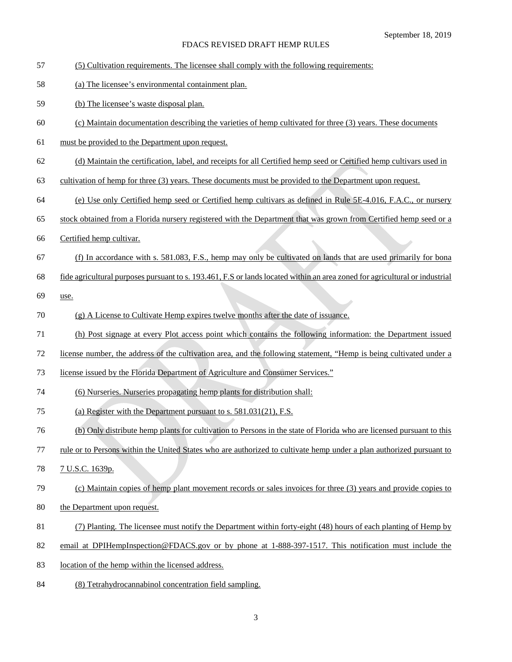- (5) Cultivation requirements. The licensee shall comply with the following requirements:
- (a) The licensee's environmental containment plan.
- (b) The licensee's waste disposal plan.
- (c) Maintain documentation describing the varieties of hemp cultivated for three (3) years. These documents
- must be provided to the Department upon request.
- (d) Maintain the certification, label, and receipts for all Certified hemp seed or Certified hemp cultivars used in
- cultivation of hemp for three (3) years. These documents must be provided to the Department upon request.
- (e) Use only Certified hemp seed or Certified hemp cultivars as defined in Rule 5E-[4.016,](https://www.flrules.org/gateway/ruleNo.asp?id=5E-4.014) F.A.C., or nursery
- stock obtained from a Florida nursery registered with the Department that was grown from Certified hemp seed or a
- Certified hemp cultivar.
- (f) In accordance with s. 581.083, F.S., hemp may only be cultivated on lands that are used primarily for bona
- fide agricultural purposes pursuant to s. 193.461, F.S or lands located within an area zoned for agricultural or industrial
- use.
- (g) A License to Cultivate Hemp expires twelve months after the date of issuance.
- (h) Post signage at every Plot access point which contains the following information: the Department issued
- license number, the address of the cultivation area, and the following statement, "Hemp is being cultivated under a
- license issued by the Florida Department of Agriculture and Consumer Services."
- (6) Nurseries. Nurseries propagating hemp plants for distribution shall:
- (a) Register with the Department pursuant to s. 581.031(21), F.S.
- (b) Only distribute hemp plants for cultivation to Persons in the state of Florida who are licensed pursuant to this
- rule or to Persons within the United States who are authorized to cultivate hemp under a plan authorized pursuant to
- 7 U.S.C. 1639p.

# (c) Maintain copies of hemp plant movement records or sales invoices for three (3) years and provide copies to

- the Department upon request.
- (7) Planting. The licensee must notify the Department within forty-eight (48) hours of each planting of Hemp by
- 82 email at DPIHempInspection@FDACS.gov or by phone at 1-888-397-1517. This notification must include the
- location of the hemp within the licensed address.
- (8) Tetrahydrocannabinol concentration field sampling.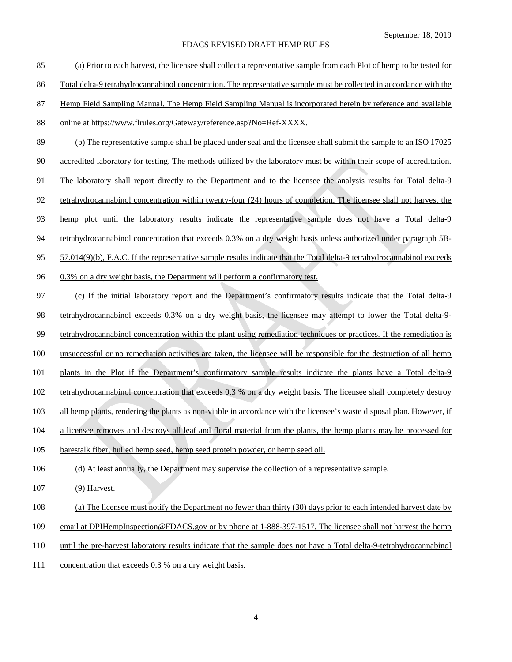| 85  | (a) Prior to each harvest, the licensee shall collect a representative sample from each Plot of hemp to be tested for     |
|-----|---------------------------------------------------------------------------------------------------------------------------|
| 86  | Total delta-9 tetrahydrocannabinol concentration. The representative sample must be collected in accordance with the      |
| 87  | Hemp Field Sampling Manual. The Hemp Field Sampling Manual is incorporated herein by reference and available              |
| 88  | online at https://www.flrules.org/Gateway/reference.asp?No=Ref-XXXX.                                                      |
| 89  | (b) The representative sample shall be placed under seal and the licensee shall submit the sample to an ISO 17025         |
| 90  | accredited laboratory for testing. The methods utilized by the laboratory must be within their scope of accreditation.    |
| 91  | The laboratory shall report directly to the Department and to the licensee the analysis results for Total delta-9         |
| 92  | tetrahydrocannabinol concentration within twenty-four (24) hours of completion. The licensee shall not harvest the        |
| 93  | hemp plot until the laboratory results indicate the representative sample does not have a Total delta-9                   |
| 94  | tetrahydrocannabinol concentration that exceeds 0.3% on a dry weight basis unless authorized under paragraph 5B-          |
| 95  | $57.014(9)(b)$ , F.A.C. If the representative sample results indicate that the Total delta-9 tetrahydrocannabinol exceeds |
| 96  | 0.3% on a dry weight basis, the Department will perform a confirmatory test.                                              |
| 97  | (c) If the initial laboratory report and the Department's confirmatory results indicate that the Total delta-9            |
| 98  | tetrahydrocannabinol exceeds 0.3% on a dry weight basis, the licensee may attempt to lower the Total delta-9-             |
| 99  | tetrahydrocannabinol concentration within the plant using remediation techniques or practices. If the remediation is      |
| 100 | unsuccessful or no remediation activities are taken, the licensee will be responsible for the destruction of all hemp     |
| 101 | plants in the Plot if the Department's confirmatory sample results indicate the plants have a Total delta-9               |
| 102 | tetrahydrocannabinol concentration that exceeds 0.3 % on a dry weight basis. The licensee shall completely destroy        |
| 103 | all hemp plants, rendering the plants as non-viable in accordance with the licensee's waste disposal plan. However, if    |
| 104 | a licensee removes and destroys all leaf and floral material from the plants, the hemp plants may be processed for        |
| 105 | barestalk fiber, hulled hemp seed, hemp seed protein powder, or hemp seed oil.                                            |
| 106 | (d) At least annually, the Department may supervise the collection of a representative sample.                            |
| 107 | (9) Harvest.                                                                                                              |
| 108 | (a) The licensee must notify the Department no fewer than thirty (30) days prior to each intended harvest date by         |
| 109 | email at DPIHempInspection@FDACS.gov or by phone at 1-888-397-1517. The licensee shall not harvest the hemp               |
| 110 | until the pre-harvest laboratory results indicate that the sample does not have a Total delta-9-tetrahydrocannabinol      |
| 111 | concentration that exceeds 0.3 % on a dry weight basis.                                                                   |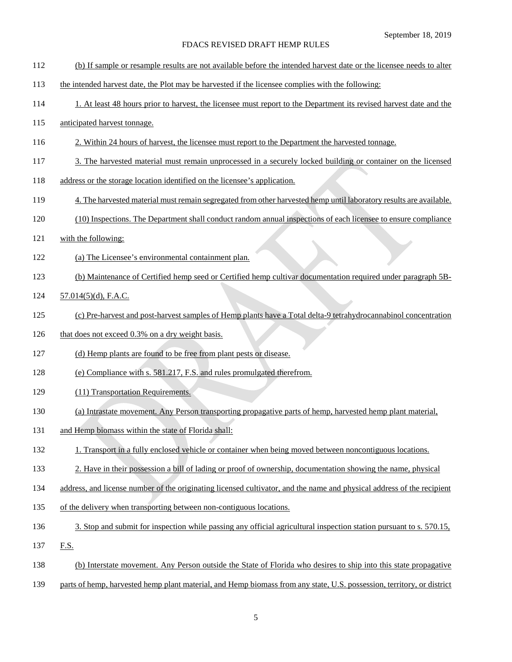- (b) If sample or resample results are not available before the intended harvest date or the licensee needs to alter
- the intended harvest date, the Plot may be harvested if the licensee complies with the following:
- 1. At least 48 hours prior to harvest, the licensee must report to the Department its revised harvest date and the
- anticipated harvest tonnage.
- 2. Within 24 hours of harvest, the licensee must report to the Department the harvested tonnage.
- 3. The harvested material must remain unprocessed in a securely locked building or container on the licensed
- address or the storage location identified on the licensee's application.
- 4. The harvested material must remain segregated from other harvested hemp until laboratory results are available.
- (10) Inspections. The Department shall conduct random annual inspections of each licensee to ensure compliance
- with the following:
- (a) The Licensee's environmental containment plan.
- (b) Maintenance of Certified hemp seed or Certified hemp cultivar documentation required under paragraph 5B-
- 57.014(5)(d), F.A.C.
- (c) Pre-harvest and post-harvest samples of Hemp plants have a Total delta-9 tetrahydrocannabinol concentration
- 126 that does not exceed 0.3% on a dry weight basis.
- (d) Hemp plants are found to be free from plant pests or disease.
- (e) Compliance with s. 581.217, F.S. and rules promulgated therefrom.
- (11) Transportation Requirements.
- (a) Intrastate movement. Any Person transporting propagative parts of hemp, harvested hemp plant material,
- 131 and Hemp biomass within the state of Florida shall:
- 1. Transport in a fully enclosed vehicle or container when being moved between noncontiguous locations.
- 2. Have in their possession a bill of lading or proof of ownership, documentation showing the name, physical
- address, and license number of the originating licensed cultivator, and the name and physical address of the recipient
- of the delivery when transporting between non-contiguous locations.
- 136 3. Stop and submit for inspection while passing any official agricultural inspection station pursuant to s. 570.15,
- 137 F.S.
- (b) Interstate movement. Any Person outside the State of Florida who desires to ship into this state propagative
- parts of hemp, harvested hemp plant material, and Hemp biomass from any state, U.S. possession, territory, or district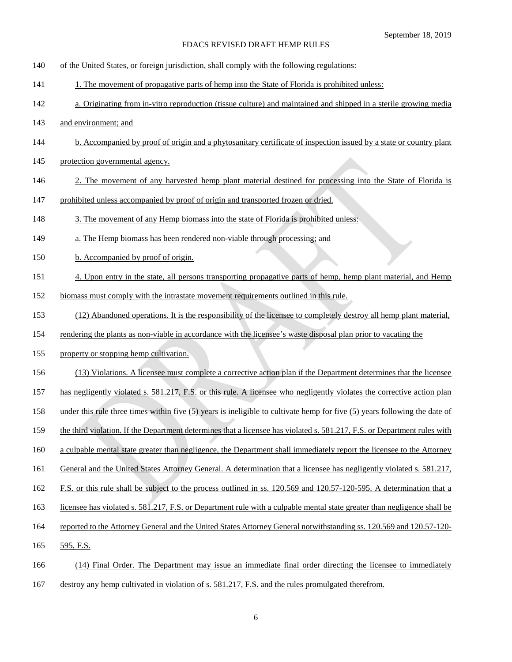- of the United States, or foreign jurisdiction, shall comply with the following regulations:
- 1. The movement of propagative parts of hemp into the State of Florida is prohibited unless:
- a. Originating from in-vitro reproduction (tissue culture) and maintained and shipped in a sterile growing media
- and environment; and
- b. Accompanied by proof of origin and a phytosanitary certificate of inspection issued by a state or country plant
- 145 protection governmental agency.
- 2. The movement of any harvested hemp plant material destined for processing into the State of Florida is
- prohibited unless accompanied by proof of origin and transported frozen or dried.
- 3. The movement of any Hemp biomass into the state of Florida is prohibited unless:
- a. The Hemp biomass has been rendered non-viable through processing; and
- 150 b. Accompanied by proof of origin.
- 151 4. Upon entry in the state, all persons transporting propagative parts of hemp, hemp plant material, and Hemp
- biomass must comply with the intrastate movement requirements outlined in this rule.
- (12) Abandoned operations. It is the responsibility of the licensee to completely destroy all hemp plant material,
- 154 rendering the plants as non-viable in accordance with the licensee's waste disposal plan prior to vacating the
- property or stopping hemp cultivation.
- (13) Violations. A licensee must complete a corrective action plan if the Department determines that the licensee
- has negligently violated s. 581.217, F.S. or this rule. A licensee who negligently violates the corrective action plan
- under this rule three times within five (5) years is ineligible to cultivate hemp for five (5) years following the date of
- the third violation. If the Department determines that a licensee has violated s. 581.217, F.S. or Department rules with
- a culpable mental state greater than negligence, the Department shall immediately report the licensee to the Attorney
- 161 General and the United States Attorney General. A determination that a licensee has negligently violated s. 581.217,
- F.S. or this rule shall be subject to the process outlined in ss. 120.569 and 120.57-120-595. A determination that a
- licensee has violated s. 581.217, F.S. or Department rule with a culpable mental state greater than negligence shall be
- reported to the Attorney General and the United States Attorney General notwithstanding ss. 120.569 and 120.57-120-
- 595, F.S.
- (14) Final Order. The Department may issue an immediate final order directing the licensee to immediately
- destroy any hemp cultivated in violation of s. 581.217, F.S. and the rules promulgated therefrom.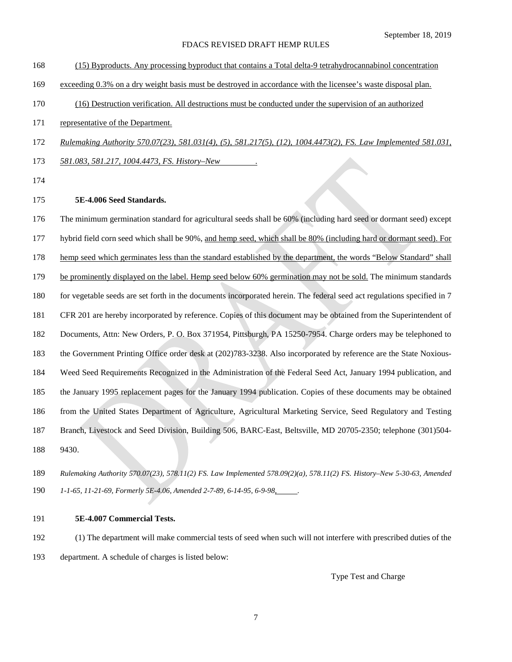- (15) Byproducts. Any processing byproduct that contains a Total delta-9 tetrahydrocannabinol concentration
- exceeding 0.3% on a dry weight basis must be destroyed in accordance with the licensee's waste disposal plan.
- (16) Destruction verification. All destructions must be conducted under the supervision of an authorized
- 171 representative of the Department.
- *Rulemaking Authority 570.07(23), 581.031(4), (5), 581.217(5), (12), 1004.4473(2), FS. Law Implemented 581.031,*
- *581.083, 581.217, 1004.4473, FS. History–New .*
- 

## **5E-4.006 Seed Standards.**

 The minimum germination standard for agricultural seeds shall be 60% (including hard seed or dormant seed) except hybrid field corn seed which shall be 90%, and hemp seed, which shall be 80% (including hard or dormant seed). For hemp seed which germinates less than the standard established by the department, the words "Below Standard" shall be prominently displayed on the label. Hemp seed below 60% germination may not be sold. The minimum standards for vegetable seeds are set forth in the documents incorporated herein. The federal seed act regulations specified in 7 CFR 201 are hereby incorporated by reference. Copies of this document may be obtained from the Superintendent of Documents, Attn: New Orders, P. O. Box 371954, Pittsburgh, PA 15250-7954. Charge orders may be telephoned to the Government Printing Office order desk at (202)783-3238. Also incorporated by reference are the State Noxious- Weed Seed Requirements Recognized in the Administration of the Federal Seed Act, January 1994 publication, and the January 1995 replacement pages for the January 1994 publication. Copies of these documents may be obtained from the United States Department of Agriculture, Agricultural Marketing Service, Seed Regulatory and Testing Branch, Livestock and Seed Division, Building 506, BARC-East, Beltsville, MD 20705-2350; telephone (301)504- 9430.

- *Rulemaking Authority 570.07(23), 578.11(2) FS. Law Implemented 578.09(2)(a), 578.11(2) FS. History–New 5-30-63, Amended 1-1-65, 11-21-69, Formerly 5E-4.06, Amended 2-7-89, 6-14-95, 6-9-98, .*
- **5E-4.007 Commercial Tests.**
- (1) The department will make commercial tests of seed when such will not interfere with prescribed duties of the department. A schedule of charges is listed below:

Type Test and Charge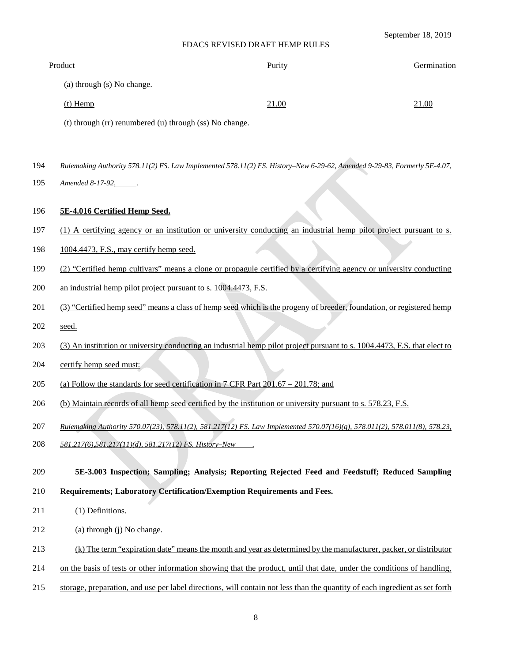### September 18, 2019

### FDACS REVISED DRAFT HEMP RULES

| Product                    | Purity | Germination |
|----------------------------|--------|-------------|
| (a) through (s) No change. |        |             |
| $(t)$ Hemp                 | 21.00  | 21.00       |

(t) through (rr) renumbered (u) through (ss) No change.

- 194 *Rulemaking Authority 578.11(2) FS. Law Implemented 578.11(2) FS. History–New 6-29-62, Amended 9-29-83, Formerly 5E-4.07,*
- 195 Amended 8-17-92, ...

## 196 **5E-4.016 Certified Hemp Seed.**

- 197 (1) A certifying agency or an institution or university conducting an industrial hemp pilot project pursuant to s.
- 198 1004.4473, F.S., may certify hemp seed.
- 199 (2) "Certified hemp cultivars" means a clone or propagule certified by a certifying agency or university conducting
- 200 an industrial hemp pilot project pursuant to s. 1004.4473, F.S.
- 201 (3) "Certified hemp seed" means a class of hemp seed which is the progeny of breeder, foundation, or registered hemp
- 202 <u>seed.</u>
- 203 (3) An institution or university conducting an industrial hemp pilot project pursuant to s. 1004.4473, F.S. that elect to
- 204 certify hemp seed must:
- 205 (a) Follow the standards for seed certification in 7 CFR Part 201.67 201.78; and
- 206 (b) Maintain records of all hemp seed certified by the institution or university pursuant to s. 578.23, F.S.
- 207 *Rulemaking Authority 570.07(23), 578.11(2), 581.217(12) FS. Law Implemented 570.07(16)(g), 578.011(2), 578.011(8), 578.23,*
- 208 *581.217(6),581.217(11)(d), 581.217(12) FS. History–New .*

### 209 **5E-3.003 Inspection; Sampling; Analysis; Reporting Rejected Feed and Feedstuff; Reduced Sampling**

- 210 **Requirements; Laboratory Certification/Exemption Requirements and Fees.**
- 211 (1) Definitions.
- 212 (a) through (j) No change.
- 213 (k) The term "expiration date" means the month and year as determined by the manufacturer, packer, or distributor
- 214 on the basis of tests or other information showing that the product, until that date, under the conditions of handling,
- 215 storage, preparation, and use per label directions, will contain not less than the quantity of each ingredient as set forth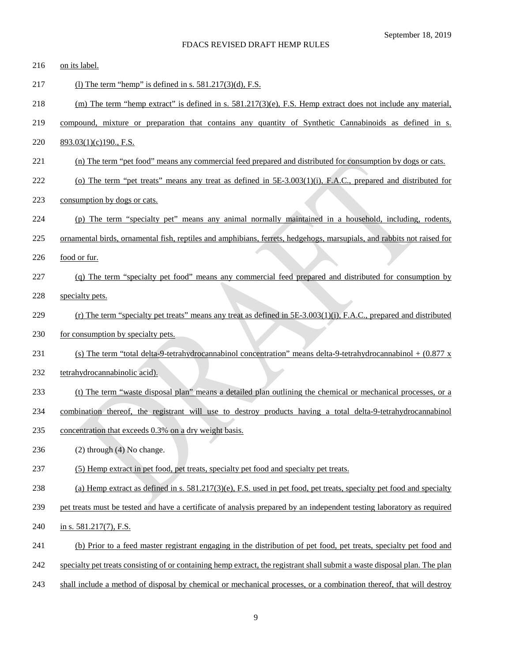| 216 | on its label.                                                                                                              |
|-----|----------------------------------------------------------------------------------------------------------------------------|
| 217 | (1) The term "hemp" is defined in s. $581.217(3)(d)$ , F.S.                                                                |
| 218 | (m) The term "hemp extract" is defined in s. $581.217(3)(e)$ , F.S. Hemp extract does not include any material,            |
| 219 | compound, mixture or preparation that contains any quantity of Synthetic Cannabinoids as defined in s.                     |
| 220 | $893.03(1)(c)190.$ , F.S.                                                                                                  |
| 221 | (n) The term "pet food" means any commercial feed prepared and distributed for consumption by dogs or cats.                |
| 222 | (o) The term "pet treats" means any treat as defined in $5E-3.003(1)(i)$ , F.A.C., prepared and distributed for            |
| 223 | consumption by dogs or cats.                                                                                               |
| 224 | (p) The term "specialty pet" means any animal normally maintained in a household, including, rodents,                      |
| 225 | ornamental birds, ornamental fish, reptiles and amphibians, ferrets, hedgehogs, marsupials, and rabbits not raised for     |
| 226 | food or fur.                                                                                                               |
| 227 | (q) The term "specialty pet food" means any commercial feed prepared and distributed for consumption by                    |
| 228 | specialty pets.                                                                                                            |
| 229 | (r) The term "specialty pet treats" means any treat as defined in $5E-3.003(1)(i)$ , F.A.C., prepared and distributed      |
| 230 | for consumption by specialty pets.                                                                                         |
| 231 | (s) The term "total delta-9-tetrahydrocannabinol concentration" means delta-9-tetrahydrocannabinol + $(0.877 \text{ x})$   |
| 232 | tetrahydrocannabinolic acid).                                                                                              |
| 233 | (t) The term "waste disposal plan" means a detailed plan outlining the chemical or mechanical processes, or a              |
| 234 | combination thereof, the registrant will use to destroy products having a total delta-9-tetrahydrocannabinol               |
| 235 | concentration that exceeds 0.3% on a dry weight basis.                                                                     |
| 236 | $(2)$ through $(4)$ No change.                                                                                             |
| 237 | (5) Hemp extract in pet food, pet treats, specialty pet food and specialty pet treats.                                     |
| 238 | (a) Hemp extract as defined in s. $581.217(3)$ (e), F.S. used in pet food, pet treats, specialty pet food and specialty    |
| 239 | pet treats must be tested and have a certificate of analysis prepared by an independent testing laboratory as required     |
| 240 | in s. $581.217(7)$ , F.S.                                                                                                  |
| 241 | (b) Prior to a feed master registrant engaging in the distribution of pet food, pet treats, specialty pet food and         |
| 242 | specialty pet treats consisting of or containing hemp extract, the registrant shall submit a waste disposal plan. The plan |
| 243 | shall include a method of disposal by chemical or mechanical processes, or a combination thereof, that will destroy        |
|     |                                                                                                                            |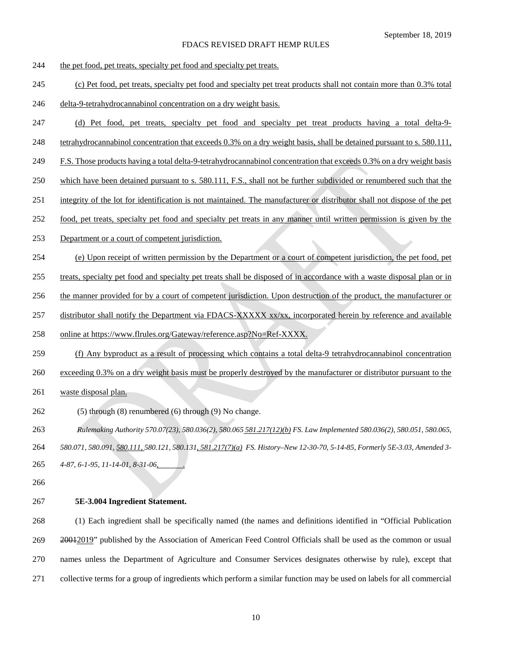- 244 the pet food, pet treats, specialty pet food and specialty pet treats.
- (c) Pet food, pet treats, specialty pet food and specialty pet treat products shall not contain more than 0.3% total
- delta-9-tetrahydrocannabinol concentration on a dry weight basis.
- (d) Pet food, pet treats, specialty pet food and specialty pet treat products having a total delta-9-
- tetrahydrocannabinol concentration that exceeds 0.3% on a dry weight basis, shall be detained pursuant to s. 580.111,
- 249 F.S. Those products having a total delta-9-tetrahydrocannabinol concentration that exceeds 0.3% on a dry weight basis
- which have been detained pursuant to s. 580.111, F.S., shall not be further subdivided or renumbered such that the
- integrity of the lot for identification is not maintained. The manufacturer or distributor shall not dispose of the pet
- food, pet treats, specialty pet food and specialty pet treats in any manner until written permission is given by the
- Department or a court of competent jurisdiction.
- (e) Upon receipt of written permission by the Department or a court of competent jurisdiction, the pet food, pet
- treats, specialty pet food and specialty pet treats shall be disposed of in accordance with a waste disposal plan or in
- the manner provided for by a court of competent jurisdiction. Upon destruction of the product, the manufacturer or
- 257 distributor shall notify the Department via FDACS-XXXXX xx/xx, incorporated herein by reference and available
- 258 online at https://www.flrules.org/Gateway/reference.asp?No=Ref-XXXX.
- (f) Any byproduct as a result of processing which contains a total delta-9 tetrahydrocannabinol concentration
- 260 exceeding 0.3% on a dry weight basis must be properly destroyed by the manufacturer or distributor pursuant to the
- waste disposal plan.
- (5) through (8) renumbered (6) through (9) No change.
- *Rulemaking Authority 570.07(23), 580.036(2), 580.065 581.217(12)(b) FS. Law Implemented 580.036(2), 580.051, 580.065, 580.071, 580.091, 580.111, 580.121, 580.131, 581.217(7)(a) FS. History–New 12-30-70, 5-14-85, Formerly 5E-3.03, Amended 3- 4-87, 6-1-95, 11-14-01, 8-31-06, .*
- 
- **5E-3.004 Ingredient Statement.**

 (1) Each ingredient shall be specifically named (the names and definitions identified in "Official Publication 269 20012019" published by the Association of American Feed Control Officials shall be used as the common or usual names unless the Department of Agriculture and Consumer Services designates otherwise by rule), except that collective terms for a group of ingredients which perform a similar function may be used on labels for all commercial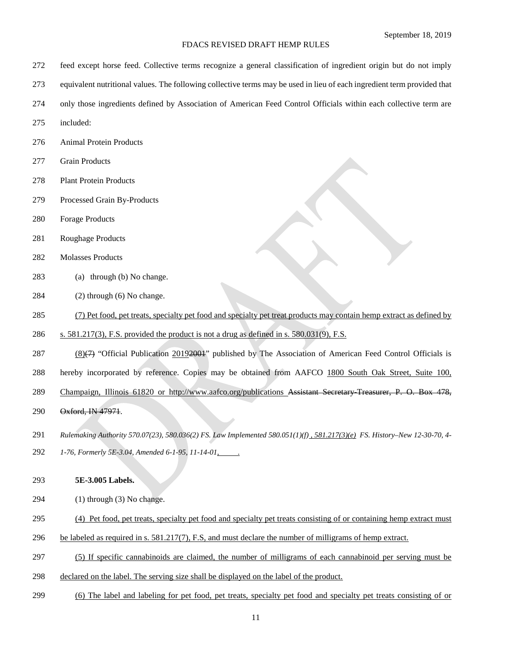- feed except horse feed. Collective terms recognize a general classification of ingredient origin but do not imply
- equivalent nutritional values. The following collective terms may be used in lieu of each ingredient term provided that
- only those ingredients defined by Association of American Feed Control Officials within each collective term are
- included:
- Animal Protein Products
- Grain Products
- Plant Protein Products
- Processed Grain By-Products
- Forage Products
- Roughage Products
- Molasses Products
- (a) through (b) No change.
- (2) through (6) No change.
- (7) Pet food, pet treats, specialty pet food and specialty pet treat products may contain hemp extract as defined by
- 286 s.  $581.217(3)$ , F.S. provided the product is not a drug as defined in s.  $580.031(9)$ , F.S.
- 287 (8)(7) "Official Publication 20192001" published by The Association of American Feed Control Officials is
- 288 hereby incorporated by reference. Copies may be obtained from AAFCO 1800 South Oak Street, Suite 100,
- 289 Champaign, Illinois 61820 or http://www.aafco.org/publications Assistant Secretary-Treasurer, P. O. Box 478,
- 290 Oxford, IN 47971.
- *Rulemaking Authority 570.07(23), 580.036(2) FS. Law Implemented 580.051(1)(f) , 581.217(3)(e) FS. History–New 12-30-70, 4- 1-76, Formerly 5E-3.04, Amended 6-1-95, 11-14-01, .*
- **5E-3.005 Labels.**
- (1) through (3) No change.
- (4) Pet food, pet treats, specialty pet food and specialty pet treats consisting of or containing hemp extract must
- be labeled as required in s. 581.217(7), F.S, and must declare the number of milligrams of hemp extract.
- (5) If specific cannabinoids are claimed, the number of milligrams of each cannabinoid per serving must be
- declared on the label. The serving size shall be displayed on the label of the product.
- (6) The label and labeling for pet food, pet treats, specialty pet food and specialty pet treats consisting of or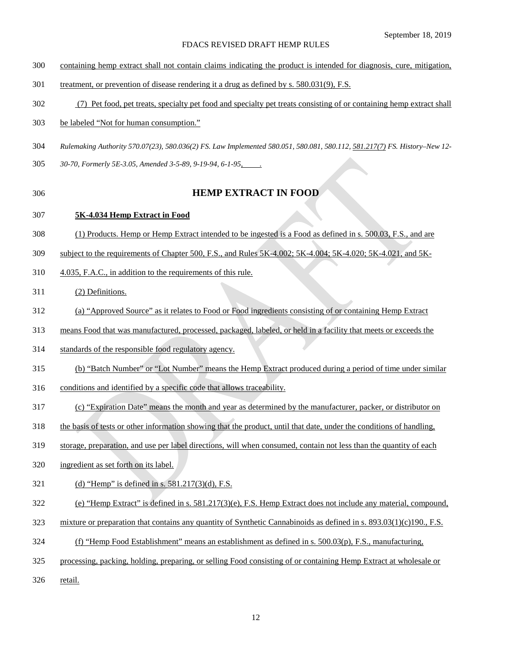- containing hemp extract shall not contain claims indicating the product is intended for diagnosis, cure, mitigation,
- treatment, or prevention of disease rendering it a drug as defined by s. 580.031(9), F.S.
- (7) Pet food, pet treats, specialty pet food and specialty pet treats consisting of or containing hemp extract shall
- be labeled "Not for human consumption."
- *Rulemaking Authority 570.07(23), 580.036(2) FS. Law Implemented 580.051, 580.081, 580.112, 581.217(7) FS. History–New 12-*
- *30-70, Formerly 5E-3.05, Amended 3-5-89, 9-19-94, 6-1-95, .*
- 

## **HEMP EXTRACT IN FOOD**

### **5K-4.034 Hemp Extract in Food**

- (1) Products. Hemp or Hemp Extract intended to be ingested is a Food as defined in s. 500.03, F.S., and are
- 309 subject to the requirements of Chapter 500, F.S., and Rules 5K-4.002; 5K-4.004; 5K-4.020; 5K-4.021, and 5K-
- 4.035, F.A.C., in addition to the requirements of this rule.

## (2) Definitions.

- (a) "Approved Source" as it relates to Food or Food ingredients consisting of or containing Hemp Extract
- means Food that was manufactured, processed, packaged, labeled, or held in a facility that meets or exceeds the
- standards of the responsible food regulatory agency.
- (b) "Batch Number" or "Lot Number" means the Hemp Extract produced during a period of time under similar
- conditions and identified by a specific code that allows traceability.
- (c) "Expiration Date" means the month and year as determined by the manufacturer, packer, or distributor on
- the basis of tests or other information showing that the product, until that date, under the conditions of handling,
- storage, preparation, and use per label directions, will when consumed, contain not less than the quantity of each
- ingredient as set forth on its label.
- (d) "Hemp" is defined in s. 581.217(3)(d), F.S.
- (e) "Hemp Extract" is defined in s. 581.217(3)(e), F.S. Hemp Extract does not include any material, compound,
- 323 mixture or preparation that contains any quantity of Synthetic Cannabinoids as defined in s.  $893.03(1)(c)190$ , F.S.
- (f) "Hemp Food Establishment" means an establishment as defined in s. 500.03(p), F.S., manufacturing,
- processing, packing, holding, preparing, or selling Food consisting of or containing Hemp Extract at wholesale or
- 326 retail.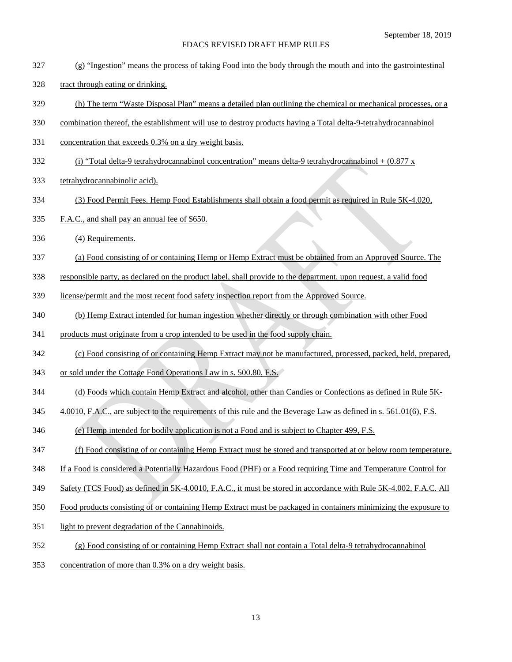- (g) "Ingestion" means the process of taking Food into the body through the mouth and into the gastrointestinal
- tract through eating or drinking.
- (h) The term "Waste Disposal Plan" means a detailed plan outlining the chemical or mechanical processes, or a
- combination thereof, the establishment will use to destroy products having a Total delta-9-tetrahydrocannabinol
- concentration that exceeds 0.3% on a dry weight basis.
- 332 (i) "Total delta-9 tetrahydrocannabinol concentration" means delta-9 tetrahydrocannabinol +  $(0.877 \text{ x})$
- tetrahydrocannabinolic acid).
- (3) Food Permit Fees. Hemp Food Establishments shall obtain a food permit as required in Rule 5K-4.020,
- 335 F.A.C., and shall pay an annual fee of \$650.
- (4) Requirements.
- (a) Food consisting of or containing Hemp or Hemp Extract must be obtained from an Approved Source. The
- responsible party, as declared on the product label, shall provide to the department, upon request, a valid food
- license/permit and the most recent food safety inspection report from the Approved Source.
- (b) Hemp Extract intended for human ingestion whether directly or through combination with other Food
- 341 products must originate from a crop intended to be used in the food supply chain.
- (c) Food consisting of or containing Hemp Extract may not be manufactured, processed, packed, held, prepared,
- 343 or sold under the Cottage Food Operations Law in s. 500.80, F.S.
- (d) Foods which contain Hemp Extract and alcohol, other than Candies or Confections as defined in Rule 5K-
- 345 4.0010, F.A.C., are subject to the requirements of this rule and the Beverage Law as defined in s. 561.01(6), F.S.
- (e) Hemp intended for bodily application is not a Food and is subject to Chapter 499, F.S.
- (f) Food consisting of or containing Hemp Extract must be stored and transported at or below room temperature.
- 348 If a Food is considered a Potentially Hazardous Food (PHF) or a Food requiring Time and Temperature Control for
- 349 Safety (TCS Food) as defined in 5K-4.0010, F.A.C., it must be stored in accordance with Rule 5K-4.002, F.A.C. All
- Food products consisting of or containing Hemp Extract must be packaged in containers minimizing the exposure to
- light to prevent degradation of the Cannabinoids.
- (g) Food consisting of or containing Hemp Extract shall not contain a Total delta-9 tetrahydrocannabinol
- concentration of more than 0.3% on a dry weight basis.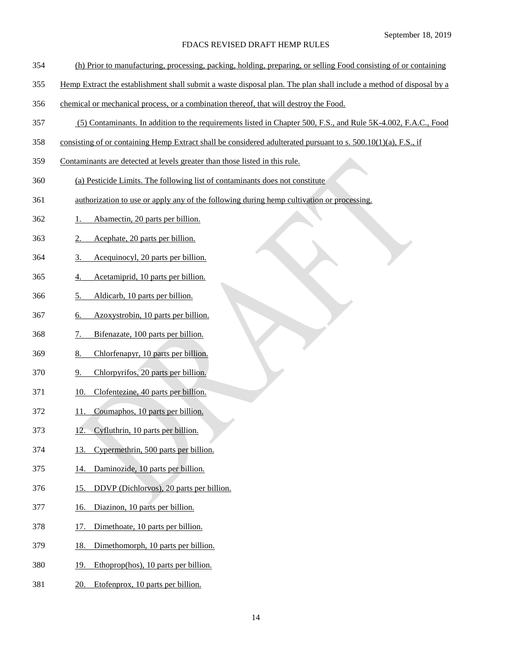- (h) Prior to manufacturing, processing, packing, holding, preparing, or selling Food consisting of or containing
- Hemp Extract the establishment shall submit a waste disposal plan. The plan shall include a method of disposal by a
- chemical or mechanical process, or a combination thereof, that will destroy the Food.
- (5) Contaminants. In addition to the requirements listed in Chapter 500, F.S., and Rule 5K-4.002, F.A.C., Food
- consisting of or containing Hemp Extract shall be considered adulterated pursuant to s. 500.10(1)(a), F.S., if
- Contaminants are detected at levels greater than those listed in this rule.
- (a) Pesticide Limits. The following list of contaminants does not constitute
- authorization to use or apply any of the following during hemp cultivation or processing.
- 1. Abamectin, 20 parts per billion.
- 2. Acephate, 20 parts per billion.
- 3. Acequinocyl, 20 parts per billion.
- 4. Acetamiprid, 10 parts per billion.
- 5. Aldicarb, 10 parts per billion.
- 6. Azoxystrobin, 10 parts per billion.
- 7. Bifenazate, 100 parts per billion.
- 8. Chlorfenapyr, 10 parts per billion.
- 9. Chlorpyrifos, 20 parts per billion.
- 10. Clofentezine, 40 parts per billion.
- 11. Coumaphos, 10 parts per billion.
- 12. Cyfluthrin, 10 parts per billion.
- 13. Cypermethrin, 500 parts per billion.
- 14. Daminozide, 10 parts per billion.
- 15. DDVP (Dichlorvos), 20 parts per billion.
- 16. Diazinon, 10 parts per billion.
- 17. Dimethoate, 10 parts per billion.
- 18. Dimethomorph, 10 parts per billion.
- 19. Ethoprop(hos), 10 parts per billion.
- 20. Etofenprox, 10 parts per billion.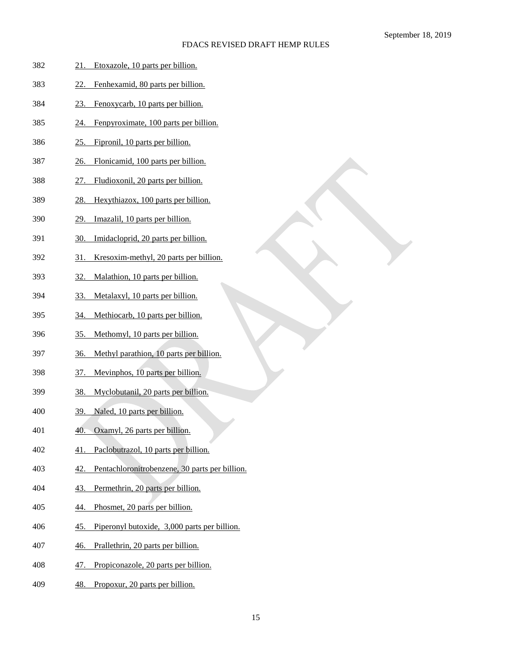| 382 | Etoxazole, 10 parts per billion.<br>21.                    |
|-----|------------------------------------------------------------|
| 383 | Fenhexamid, 80 parts per billion.<br>22.                   |
| 384 | Fenoxycarb, 10 parts per billion.<br>23.                   |
| 385 | Fenpyroximate, 100 parts per billion.<br>24.               |
| 386 | Fipronil, 10 parts per billion.<br>25.                     |
| 387 | Flonicamid, 100 parts per billion.<br><u>26.</u>           |
| 388 | Fludioxonil, 20 parts per billion.<br>27.                  |
| 389 | Hexythiazox, 100 parts per billion.<br>28.                 |
| 390 | Imazalil, 10 parts per billion.<br>29.                     |
| 391 | Imidacloprid, 20 parts per billion.<br>30.                 |
| 392 | Kresoxim-methyl, 20 parts per billion.<br>31.              |
| 393 | Malathion, 10 parts per billion.<br><u>32.</u>             |
| 394 | Metalaxyl, 10 parts per billion.<br>33.                    |
| 395 | Methiocarb, 10 parts per billion.<br>34.                   |
| 396 | Methomyl, 10 parts per billion.<br><u>35.</u>              |
| 397 | Methyl parathion, 10 parts per billion.<br><u>36.</u>      |
| 398 | Mevinphos, 10 parts per billion.<br>37.                    |
| 399 | Myclobutanil, 20 parts per billion.<br><u>38.</u>          |
| 400 | Naled, 10 parts per billion.<br>39.                        |
| 401 | Oxamyl, 26 parts per billion.<br>40.                       |
| 402 | Paclobutrazol, 10 parts per billion.<br>41                 |
| 403 | Pentachloronitrobenzene, 30 parts per billion.<br>42.      |
| 404 | Permethrin, 20 parts per billion.<br>43.                   |
| 405 | Phosmet, 20 parts per billion.<br>44.                      |
| 406 | Piperonyl butoxide, 3,000 parts per billion.<br><u>45.</u> |
| 407 | Prallethrin, 20 parts per billion.<br>46.                  |
| 408 | Propiconazole, 20 parts per billion.<br>47.                |
| 409 | Propoxur, 20 parts per billion.<br>48.                     |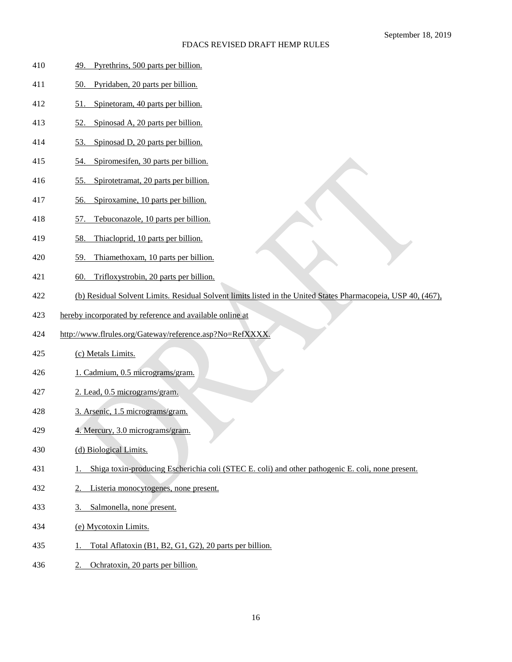| 410 |  |  | Pyrethrins, 500 parts per billion. |
|-----|--|--|------------------------------------|
|     |  |  |                                    |

- 50. Pyridaben, 20 parts per billion.
- 51. Spinetoram, 40 parts per billion.
- 52. Spinosad A, 20 parts per billion.
- 53. Spinosad D, 20 parts per billion.
- 54. Spiromesifen, 30 parts per billion.
- 55. Spirotetramat, 20 parts per billion.
- 56. Spiroxamine, 10 parts per billion.
- 57. Tebuconazole, 10 parts per billion.
- 58. Thiacloprid, 10 parts per billion.
- 59. Thiamethoxam, 10 parts per billion.
- 60. Trifloxystrobin, 20 parts per billion.
- (b) Residual Solvent Limits. Residual Solvent limits listed in the United States Pharmacopeia, USP 40, (467),
- hereby incorporated by reference and available online at
- http://www.flrules.org/Gateway/reference.asp?No=RefXXXX.
- (c) Metals Limits.
- 1. Cadmium, 0.5 micrograms/gram.
- 2. Lead, 0.5 micrograms/gram.
- 3. Arsenic, 1.5 micrograms/gram.
- 4. Mercury, 3.0 micrograms/gram.
- (d) Biological Limits.
- 1. Shiga toxin-producing Escherichia coli (STEC E. coli) and other pathogenic E. coli, none present.
- 2. Listeria monocytogenes, none present.
- 3. Salmonella, none present.
- (e) Mycotoxin Limits.
- 435 1. Total Aflatoxin (B1, B2, G1, G2), 20 parts per billion.
- 2. Ochratoxin, 20 parts per billion.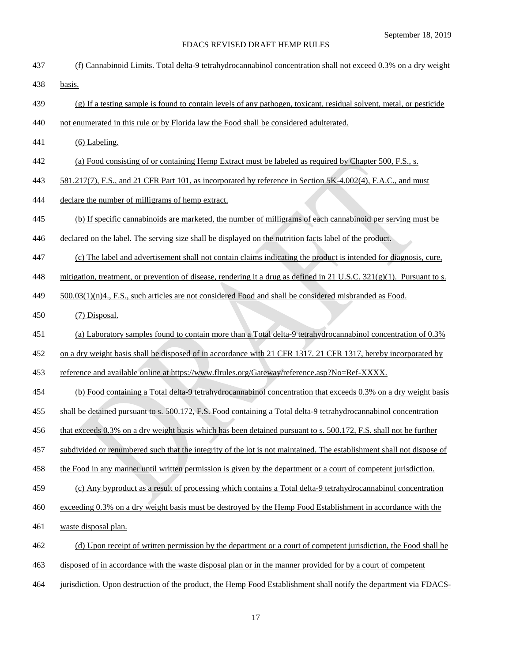| 437 | (f) Cannabinoid Limits. Total delta-9 tetrahydrocannabinol concentration shall not exceed 0.3% on a dry weight         |
|-----|------------------------------------------------------------------------------------------------------------------------|
| 438 | basis.                                                                                                                 |
| 439 | (g) If a testing sample is found to contain levels of any pathogen, toxicant, residual solvent, metal, or pesticide    |
| 440 | not enumerated in this rule or by Florida law the Food shall be considered adulterated.                                |
| 441 | $(6)$ Labeling.                                                                                                        |
| 442 | (a) Food consisting of or containing Hemp Extract must be labeled as required by Chapter 500, F.S., s.                 |
| 443 | 581.217(7), F.S., and 21 CFR Part 101, as incorporated by reference in Section 5K-4.002(4), F.A.C., and must           |
| 444 | declare the number of milligrams of hemp extract.                                                                      |
| 445 | (b) If specific cannabinoids are marketed, the number of milligrams of each cannabinoid per serving must be            |
| 446 | declared on the label. The serving size shall be displayed on the nutrition facts label of the product.                |
| 447 | (c) The label and advertisement shall not contain claims indicating the product is intended for diagnosis, cure,       |
| 448 | mitigation, treatment, or prevention of disease, rendering it a drug as defined in 21 U.S.C. 321(g)(1). Pursuant to s. |
| 449 | 500.03(1)(n)4., F.S., such articles are not considered Food and shall be considered misbranded as Food.                |
| 450 | (7) Disposal.                                                                                                          |
| 451 | (a) Laboratory samples found to contain more than a Total delta-9 tetrahydrocannabinol concentration of 0.3%           |
| 452 | on a dry weight basis shall be disposed of in accordance with 21 CFR 1317. 21 CFR 1317, hereby incorporated by         |
| 453 | reference and available online at https://www.flrules.org/Gateway/reference.asp?No=Ref-XXXX.                           |
| 454 | (b) Food containing a Total delta-9 tetrahydrocannabinol concentration that exceeds 0.3% on a dry weight basis         |
| 455 | shall be detained pursuant to s. 500.172, F.S. Food containing a Total delta-9 tetrahydrocannabinol concentration      |
| 456 | that exceeds 0.3% on a dry weight basis which has been detained pursuant to s. 500.172, F.S. shall not be further      |
| 457 | subdivided or renumbered such that the integrity of the lot is not maintained. The establishment shall not dispose of  |
| 458 | the Food in any manner until written permission is given by the department or a court of competent jurisdiction.       |
| 459 | (c) Any byproduct as a result of processing which contains a Total delta-9 tetrahydrocannabinol concentration          |
| 460 | exceeding 0.3% on a dry weight basis must be destroyed by the Hemp Food Establishment in accordance with the           |
| 461 | waste disposal plan.                                                                                                   |
| 462 | (d) Upon receipt of written permission by the department or a court of competent jurisdiction, the Food shall be       |
| 463 | disposed of in accordance with the waste disposal plan or in the manner provided for by a court of competent           |
| 464 | jurisdiction. Upon destruction of the product, the Hemp Food Establishment shall notify the department via FDACS-      |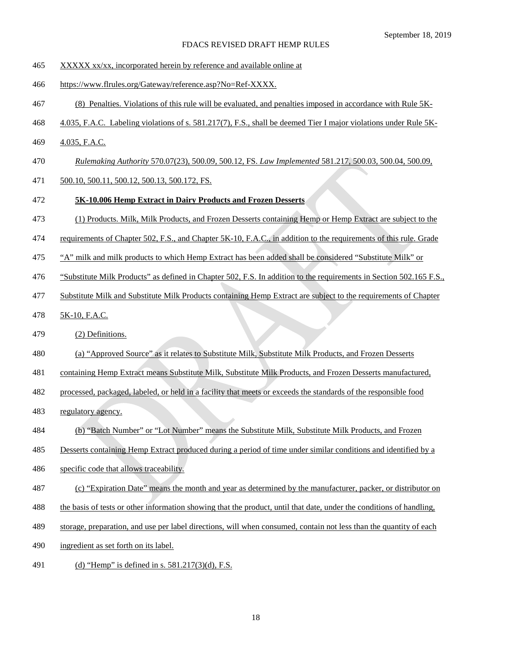- 465 XXXXX xx/xx, incorporated herein by reference and available online at
- https://www.flrules.org/Gateway/reference.asp?No=Ref-XXXX.
- (8) Penalties. Violations of this rule will be evaluated, and penalties imposed in accordance with Rule 5K-
- 4.035, F.A.C. Labeling violations of s. 581.217(7), F.S., shall be deemed Tier I major violations under Rule 5K-
- 469 4.035, F.A.C.
- *Rulemaking Authority* 570.07(23), 500.09, 500.12, FS. *Law Implemented* 581.217, 500.03, 500.04, 500.09,
- 500.10, 500.11, 500.12, 500.13, 500.172, FS.
- **5K-10.006 Hemp Extract in Dairy Products and Frozen Desserts**
- (1) Products. Milk, Milk Products, and Frozen Desserts containing Hemp or Hemp Extract are subject to the
- requirements of Chapter 502, F.S., and Chapter 5K-10, F.A.C., in addition to the requirements of this rule. Grade
- 475 "A" milk and milk products to which Hemp Extract has been added shall be considered "Substitute Milk" or
- 476 "Substitute Milk Products" as defined in Chapter 502, F.S. In addition to the requirements in Section 502.165 F.S.,
- Substitute Milk and Substitute Milk Products containing Hemp Extract are subject to the requirements of Chapter
- 5K-10, F.A.C.
- (2) Definitions.
- (a) "Approved Source" as it relates to Substitute Milk, Substitute Milk Products, and Frozen Desserts
- containing Hemp Extract means Substitute Milk, Substitute Milk Products, and Frozen Desserts manufactured,
- processed, packaged, labeled, or held in a facility that meets or exceeds the standards of the responsible food
- regulatory agency.
- (b) "Batch Number" or "Lot Number" means the Substitute Milk, Substitute Milk Products, and Frozen
- 185 Desserts containing Hemp Extract produced during a period of time under similar conditions and identified by a
- specific code that allows traceability.
- (c) "Expiration Date" means the month and year as determined by the manufacturer, packer, or distributor on
- the basis of tests or other information showing that the product, until that date, under the conditions of handling,
- storage, preparation, and use per label directions, will when consumed, contain not less than the quantity of each
- 490 ingredient as set forth on its label.
- 491 (d) "Hemp" is defined in s. 581.217(3)(d), F.S.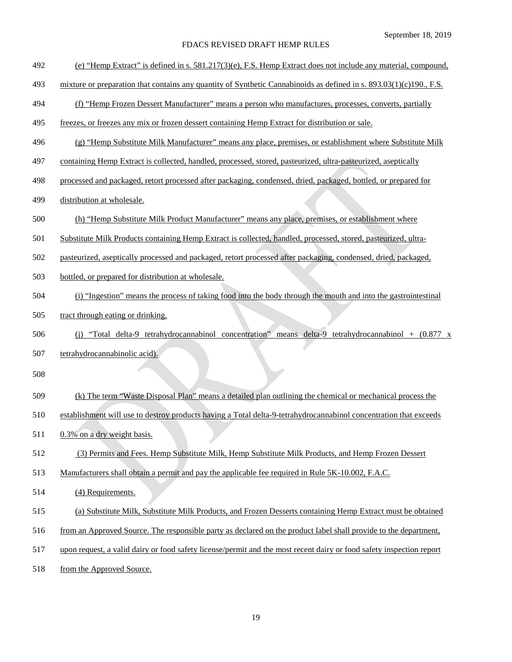- (e) "Hemp Extract" is defined in s. 581.217(3)(e), F.S. Hemp Extract does not include any material, compound,
- mixture or preparation that contains any quantity of Synthetic Cannabinoids as defined in s. 893.03(1)(c)190., F.S.
- 494 (f) "Hemp Frozen Dessert Manufacturer" means a person who manufactures, processes, converts, partially
- freezes, or freezes any mix or frozen dessert containing Hemp Extract for distribution or sale.
- (g) "Hemp Substitute Milk Manufacturer" means any place, premises, or establishment where Substitute Milk
- 497 containing Hemp Extract is collected, handled, processed, stored, pasteurized, ultra-pasteurized, aseptically
- processed and packaged, retort processed after packaging, condensed, dried, packaged, bottled, or prepared for
- distribution at wholesale.
- (h) "Hemp Substitute Milk Product Manufacturer" means any place, premises, or establishment where
- Substitute Milk Products containing Hemp Extract is collected, handled, processed, stored, pasteurized, ultra-
- pasteurized, aseptically processed and packaged, retort processed after packaging, condensed, dried, packaged,
- bottled, or prepared for distribution at wholesale.
- (i) "Ingestion" means the process of taking food into the body through the mouth and into the gastrointestinal
- tract through eating or drinking.
- (j) "Total delta-9 tetrahydrocannabinol concentration" means delta-9 tetrahydrocannabinol + (0.877 x tetrahydrocannabinolic acid).
- 
- (k) The term "Waste Disposal Plan" means a detailed plan outlining the chemical or mechanical process the
- establishment will use to destroy products having a Total delta-9-tetrahydrocannabinol concentration that exceeds
- 511 0.3% on a dry weight basis.
- (3) Permits and Fees. Hemp Substitute Milk, Hemp Substitute Milk Products, and Hemp Frozen Dessert
- 513 Manufacturers shall obtain a permit and pay the applicable fee required in Rule 5K-10.002, F.A.C.
- (4) Requirements.
- (a) Substitute Milk, Substitute Milk Products, and Frozen Desserts containing Hemp Extract must be obtained
- from an Approved Source. The responsible party as declared on the product label shall provide to the department,
- upon request, a valid dairy or food safety license/permit and the most recent dairy or food safety inspection report
- 518 from the Approved Source.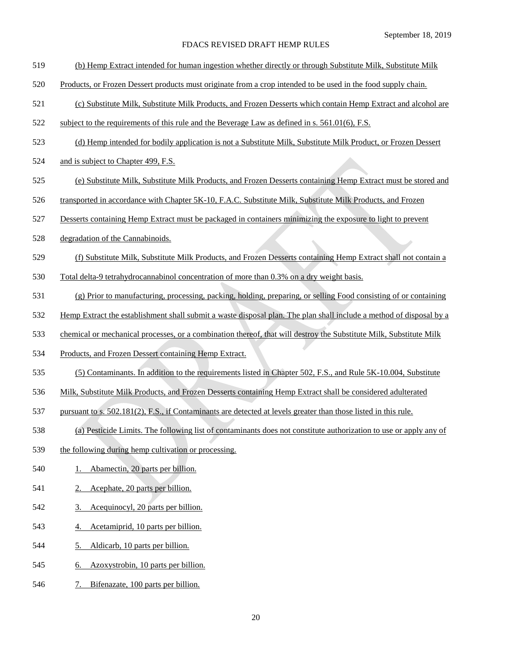- (b) Hemp Extract intended for human ingestion whether directly or through Substitute Milk, Substitute Milk
- Products, or Frozen Dessert products must originate from a crop intended to be used in the food supply chain.
- (c) Substitute Milk, Substitute Milk Products, and Frozen Desserts which contain Hemp Extract and alcohol are
- 522 subject to the requirements of this rule and the Beverage Law as defined in s. 561.01(6), F.S.
- (d) Hemp intended for bodily application is not a Substitute Milk, Substitute Milk Product, or Frozen Dessert
- 524 and is subject to Chapter 499, F.S.
- (e) Substitute Milk, Substitute Milk Products, and Frozen Desserts containing Hemp Extract must be stored and
- 526 transported in accordance with Chapter 5K-10, F.A.C. Substitute Milk, Substitute Milk Products, and Frozen
- Desserts containing Hemp Extract must be packaged in containers minimizing the exposure to light to prevent
- degradation of the Cannabinoids.
- (f) Substitute Milk, Substitute Milk Products, and Frozen Desserts containing Hemp Extract shall not contain a
- Total delta-9 tetrahydrocannabinol concentration of more than 0.3% on a dry weight basis.
- (g) Prior to manufacturing, processing, packing, holding, preparing, or selling Food consisting of or containing
- Hemp Extract the establishment shall submit a waste disposal plan. The plan shall include a method of disposal by a
- 533 chemical or mechanical processes, or a combination thereof, that will destroy the Substitute Milk, Substitute Milk
- Products, and Frozen Dessert containing Hemp Extract.
- (5) Contaminants. In addition to the requirements listed in Chapter 502, F.S., and Rule 5K-10.004, Substitute
- Milk, Substitute Milk Products, and Frozen Desserts containing Hemp Extract shall be considered adulterated
- pursuant to s. 502.181(2), F.S., if Contaminants are detected at levels greater than those listed in this rule.
- (a) Pesticide Limits. The following list of contaminants does not constitute authorization to use or apply any of
- the following during hemp cultivation or processing.
- 540 1. Abamectin, 20 parts per billion.
- 2. Acephate, 20 parts per billion.
- 3. Acequinocyl, 20 parts per billion.
- 4. Acetamiprid, 10 parts per billion.
- 5. Aldicarb, 10 parts per billion.
- 6. Azoxystrobin, 10 parts per billion.
- 7. Bifenazate, 100 parts per billion.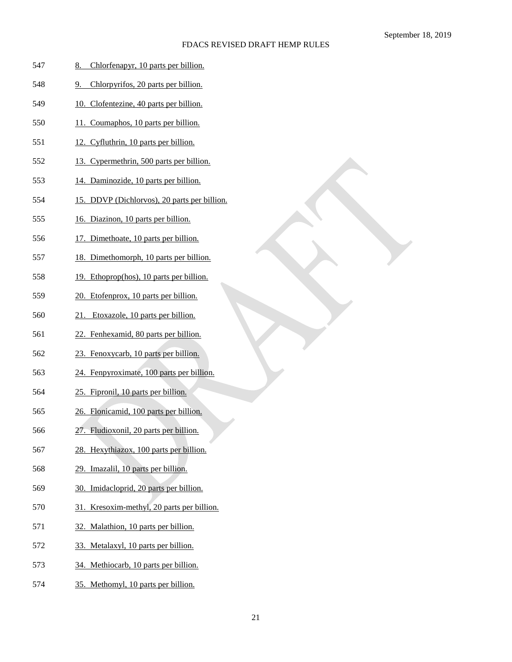| 547 | Chlorfenapyr, 10 parts per billion.<br>8.    |
|-----|----------------------------------------------|
| 548 | Chlorpyrifos, 20 parts per billion.<br>9.    |
| 549 | 10. Clofentezine, 40 parts per billion.      |
| 550 | 11. Coumaphos, 10 parts per billion.         |
| 551 | 12. Cyfluthrin, 10 parts per billion.        |
| 552 | 13. Cypermethrin, 500 parts per billion.     |
| 553 | 14. Daminozide, 10 parts per billion.        |
| 554 | 15. DDVP (Dichlorvos), 20 parts per billion. |
| 555 | 16. Diazinon, 10 parts per billion.          |
| 556 | 17. Dimethoate, 10 parts per billion.        |
| 557 | 18. Dimethomorph, 10 parts per billion.      |
| 558 | 19. Ethoprop(hos), 10 parts per billion.     |
| 559 | 20. Etofenprox, 10 parts per billion.        |
| 560 | Etoxazole, 10 parts per billion.<br>21.      |
| 561 | 22. Fenhexamid, 80 parts per billion.        |
| 562 | 23. Fenoxycarb, 10 parts per billion.        |
| 563 | 24. Fenpyroximate, 100 parts per billion.    |
| 564 | 25. Fipronil, 10 parts per billion.          |
| 565 | 26. Flonicamid, 100 parts per billion.       |
| 566 | 27. Fludioxonil, 20 parts per billion.       |
| 567 | 28. Hexythiazox, 100 parts per billion.      |
| 568 | 29. Imazalil, 10 parts per billion.          |
| 569 | 30. Imidacloprid, 20 parts per billion.      |
| 570 | 31. Kresoxim-methyl, 20 parts per billion.   |
| 571 | 32. Malathion, 10 parts per billion.         |
| 572 | 33. Metalaxyl, 10 parts per billion.         |
| 573 | 34. Methiocarb, 10 parts per billion.        |
| 574 | 35. Methomyl, 10 parts per billion.          |
|     |                                              |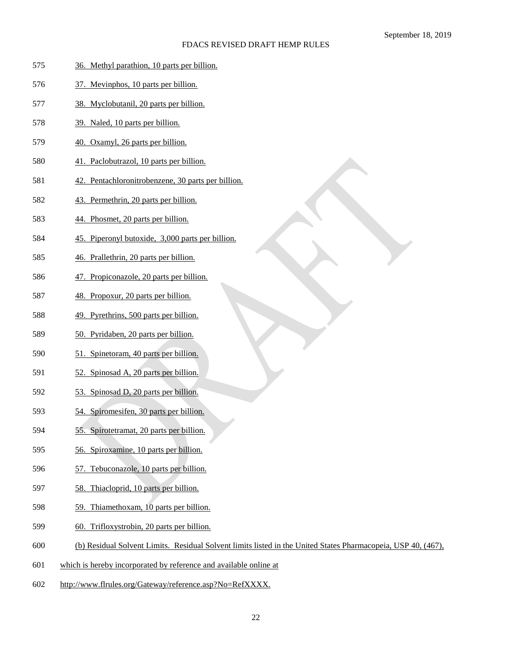| 575 | 36. Methyl parathion, 10 parts per billion.                                                                   |
|-----|---------------------------------------------------------------------------------------------------------------|
| 576 | 37. Mevinphos, 10 parts per billion.                                                                          |
| 577 | 38. Myclobutanil, 20 parts per billion.                                                                       |
| 578 | 39. Naled, 10 parts per billion.                                                                              |
| 579 | 40. Oxamyl, 26 parts per billion.                                                                             |
| 580 | 41. Paclobutrazol, 10 parts per billion.                                                                      |
| 581 | 42. Pentachloronitrobenzene, 30 parts per billion.                                                            |
| 582 | 43. Permethrin, 20 parts per billion.                                                                         |
| 583 | 44. Phosmet, 20 parts per billion.                                                                            |
| 584 | 45. Piperonyl butoxide, 3,000 parts per billion.                                                              |
| 585 | 46. Prallethrin, 20 parts per billion.                                                                        |
| 586 | 47. Propiconazole, 20 parts per billion.                                                                      |
| 587 | 48. Propoxur, 20 parts per billion.                                                                           |
| 588 | 49. Pyrethrins, 500 parts per billion.                                                                        |
| 589 | 50. Pyridaben, 20 parts per billion.                                                                          |
| 590 | 51. Spinetoram, 40 parts per billion.                                                                         |
| 591 | 52. Spinosad A, 20 parts per billion.                                                                         |
| 592 | 53. Spinosad D, 20 parts per billion.                                                                         |
| 593 | 54. Spiromesifen, 30 parts per billion.                                                                       |
| 594 | 55. Spirotetramat, 20 parts per billion.<br>T                                                                 |
| 595 | 56. Spiroxamine, 10 parts per billion.                                                                        |
| 596 | 57. Tebuconazole, 10 parts per billion.                                                                       |
| 597 | 58. Thiacloprid, 10 parts per billion.                                                                        |
| 598 | 59. Thiamethoxam, 10 parts per billion.                                                                       |
| 599 | 60. Trifloxystrobin, 20 parts per billion.                                                                    |
| 600 | (b) Residual Solvent Limits. Residual Solvent limits listed in the United States Pharmacopeia, USP 40, (467), |
| 601 | which is hereby incorporated by reference and available online at                                             |
| 602 | http://www.flrules.org/Gateway/reference.asp?No=RefXXXX.                                                      |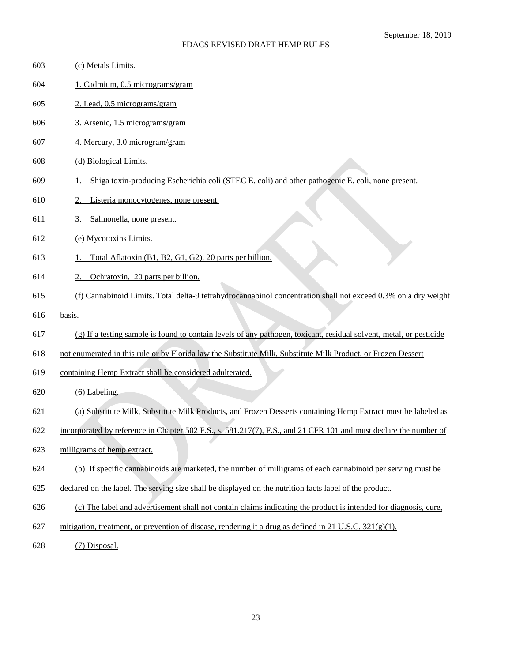| 603 | (c) Metals Limits.                                                                                                  |
|-----|---------------------------------------------------------------------------------------------------------------------|
| 604 | 1. Cadmium, 0.5 micrograms/gram                                                                                     |
| 605 | 2. Lead, 0.5 micrograms/gram                                                                                        |
| 606 | 3. Arsenic, 1.5 micrograms/gram                                                                                     |
| 607 | 4. Mercury, 3.0 microgram/gram                                                                                      |
| 608 | (d) Biological Limits.                                                                                              |
| 609 | Shiga toxin-producing Escherichia coli (STEC E. coli) and other pathogenic E. coli, none present.                   |
| 610 | Listeria monocytogenes, none present.                                                                               |
| 611 | Salmonella, none present.<br>3.                                                                                     |
| 612 | (e) Mycotoxins Limits.                                                                                              |
| 613 | Total Aflatoxin (B1, B2, G1, G2), 20 parts per billion.                                                             |
| 614 | Ochratoxin, 20 parts per billion.                                                                                   |
| 615 | (f) Cannabinoid Limits. Total delta-9 tetrahydrocannabinol concentration shall not exceed 0.3% on a dry weight      |
| 616 | basis.                                                                                                              |
|     |                                                                                                                     |
| 617 | (g) If a testing sample is found to contain levels of any pathogen, toxicant, residual solvent, metal, or pesticide |
| 618 | not enumerated in this rule or by Florida law the Substitute Milk, Substitute Milk Product, or Frozen Dessert       |
| 619 | containing Hemp Extract shall be considered adulterated.                                                            |
| 620 | $(6)$ Labeling.                                                                                                     |
| 621 | (a) Substitute Milk, Substitute Milk Products, and Frozen Desserts containing Hemp Extract must be labeled as       |
| 622 | incorporated by reference in Chapter 502 F.S., s. 581.217(7), F.S., and 21 CFR 101 and must declare the number of   |
| 623 | milligrams of hemp extract.                                                                                         |
| 624 | (b) If specific cannabinoids are marketed, the number of milligrams of each cannabinoid per serving must be         |
| 625 | declared on the label. The serving size shall be displayed on the nutrition facts label of the product.             |
| 626 | (c) The label and advertisement shall not contain claims indicating the product is intended for diagnosis, cure,    |
| 627 | mitigation, treatment, or prevention of disease, rendering it a drug as defined in 21 U.S.C. $321(g)(1)$ .          |